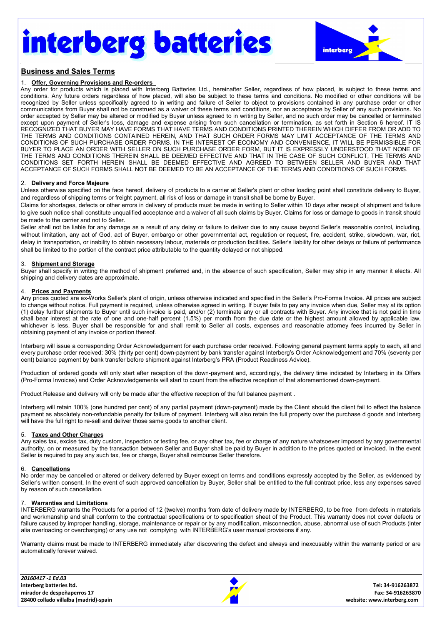# interberg batteries



### Business and Sales Terms

#### 1. Offer, Governing Provisions and Re-orders

Any order for products which is placed with Interberg Batteries Ltd., hereinafter Seller, regardless of how placed, is subject to these terms and conditions. Any future orders regardless of how placed, will also be subject to these terms and conditions. No modified or other conditions will be recognized by Seller unless specifically agreed to in writing and failure of Seller to object to provisions contained in any purchase order or other communications from Buyer shall not be construed as a waiver of these terms and conditions, nor an acceptance by Seller of any such provisions. No order accepted by Seller may be altered or modified by Buyer unless agreed to in writing by Seller, and no such order may be cancelled or terminated except upon payment of Seller's loss, damage and expense arising from such cancellation or termination, as set forth in Section 6 hereof. IT IS RECOGNIZED THAT BUYER MAY HAVE FORMS THAT HAVE TERMS AND CONDITIONS PRINTED THEREIN WHICH DIFFER FROM OR ADD TO THE TERMS AND CONDITIONS CONTAINED HEREIN, AND THAT SUCH ORDER FORMS MAY LIMIT ACCEPTANCE OF THE TERMS AND CONDITIONS OF SUCH PURCHASE ORDER FORMS. IN THE INTEREST OF ECONOMY AND CONVENIENCE, IT WILL BE PERMISSIBLE FOR BUYER TO PLACE AN ORDER WITH SELLER ON SUCH PURCHASE ORDER FORM, BUT IT IS EXPRESSLY UNDERSTOOD THAT NONE OF THE TERMS AND CONDITIONS THEREIN SHALL BE DEEMED EFFECTIVE AND THAT IN THE CASE OF SUCH CONFLICT, THE TERMS AND CONDITIONS SET FORTH HEREIN SHALL BE DEEMED EFFECTIVE AND AGREED TO BETWEEN SELLER AND BUYER AND THAT ACCEPTANCE OF SUCH FORMS SHALL NOT BE DEEMED TO BE AN ACCEPTANCE OF THE TERMS AND CONDITIONS OF SUCH FORMS.

#### 2. Delivery and Force Majeure

Unless otherwise specified on the face hereof, delivery of products to a carrier at Seller's plant or other loading point shall constitute delivery to Buyer, and regardless of shipping terms or freight payment, all risk of loss or damage in transit shall be borne by Buyer.

Claims for shortages, defects or other errors in delivery of products must be made in writing to Seller within 10 days after receipt of shipment and failure to give such notice shall constitute unqualified acceptance and a waiver of all such claims by Buyer. Claims for loss or damage to goods in transit should be made to the carrier and not to Seller.

Seller shall not be liable for any damage as a result of any delay or failure to deliver due to any cause beyond Seller's reasonable control, including, without limitation, any act of God, act of Buyer, embargo or other governmental act, regulation or request, fire, accident, strike, slowdown, war, riot, delay in transportation, or inability to obtain necessary labour, materials or production facilities. Seller's liability for other delays or failure of performance shall be limited to the portion of the contract price attributable to the quantity delayed or not shipped.

#### 3. Shipment and Storage

Buyer shall specify in writing the method of shipment preferred and, in the absence of such specification, Seller may ship in any manner it elects. All shipping and delivery dates are approximate.

#### 4. Prices and Payments

Any prices quoted are ex-Works Seller's plant of origin, unless otherwise indicated and specified in the Seller's Pro-Forma Invoice. All prices are subject to change without notice. Full payment is required, unless otherwise agreed in writing. If buyer fails to pay any invoice when due, Seller may at its option (1) delay further shipments to Buyer until such invoice is paid, and/or (2) terminate any or all contracts with Buyer. Any invoice that is not paid in time shall bear interest at the rate of one and one-half percent (1.5%) per month from the due date or the highest amount allowed by applicable law, whichever is less. Buyer shall be responsible for and shall remit to Seller all costs, expenses and reasonable attorney fees incurred by Seller in obtaining payment of any invoice or portion thereof.

Interberg will issue a corresponding Order Acknowledgement for each purchase order received. Following general payment terms apply to each, all and every purchase order received: 30% (thirty per cent) down-payment by bank transfer against Interberg's Order Acknowledgement and 70% (seventy per cent) balance payment by bank transfer before shipment against Interberg's PRA (Product Readiness Advice).

Production of ordered goods will only start after reception of the down-payment and, accordingly, the delivery time indicated by Interberg in its Offers (Pro-Forma Invoices) and Order Acknowledgements will start to count from the effective reception of that aforementioned down-payment.

Product Release and delivery will only be made after the effective reception of the full balance payment .

Interberg will retain 100% (one hundred per cent) of any partial payment (down-payment) made by the Client should the client fail to effect the balance payment as absolutely non-refundable penalty for failure of payment. Interberg will also retain the full property over the purchase d goods and Interberg will have the full right to re-sell and deliver those same goods to another client.

#### 5. Taxes and Other Charges

Any sales tax, excise tax, duty custom, inspection or testing fee, or any other tax, fee or charge of any nature whatsoever imposed by any governmental authority, on or measured by the transaction between Seller and Buyer shall be paid by Buyer in addition to the prices quoted or invoiced. In the event Seller is required to pay any such tax, fee or charge, Buyer shall reimburse Seller therefore.

#### 6. Cancellations

No order may be cancelled or altered or delivery deferred by Buyer except on terms and conditions expressly accepted by the Seller, as evidenced by Seller's written consent. In the event of such approved cancellation by Buyer, Seller shall be entitled to the full contract price, less any expenses saved by reason of such cancellation.

#### **Warranties and Limitations**

INTERBERG warrants the Products for a period of 12 (twelve) months from date of delivery made by INTERBERG, to be free from defects in materials and workmanship and shall conform to the contractual specifications or to specification sheet of the Product. This warranty does not cover defects or failure caused by improper handling, storage, maintenance or repair or by any modification, misconnection, abuse, abnormal use of such Products (inter alia overloading or overcharging) or any use not complying with INTERBERG's user manual provisions if any.

Warranty claims must be made to INTERBERG immediately after discovering the defect and always and inexcusably within the warranty period or are automatically forever waived.

| 20160417 -1 Ed.03                     |                            |
|---------------------------------------|----------------------------|
| interberg batteries ltd.              | Tel: 34-916263872          |
| mirador de despeñaperros 17           | Fax: 34-916263870          |
| 28400 collado villalba (madrid)-spain | website: www.interberg.com |